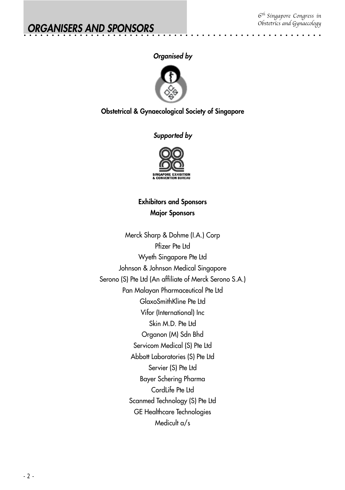aaaaaaa

## **Organised by**

aaaaaaaaaaaaaaaaaaaaaaaaaaaaaaaaaaaaaaaaaaaaaaa



## **Obstetrical & Gynaecological Society of Singapore**

## **Supported by**



# **Exhibitors and Sponsors Major Sponsors**

Merck Sharp & Dohme (I.A.) Corp Pfizer Pte Ltd Wyeth Singapore Pte Ltd Johnson & Johnson Medical Singapore Serono (S) Pte Ltd (An affiliate of Merck Serono S.A.) Pan Malayan Pharmaceutical Pte Ltd GlaxoSmithKline Pte Ltd Vifor (International) Inc Skin M.D. Pte Ltd Organon (M) Sdn Bhd Servicom Medical (S) Pte Ltd Abbott Laboratories (S) Pte Ltd Servier (S) Pte Ltd Bayer Schering Pharma CordLife Pte Ltd Scanmed Technology (S) Pte Ltd GE Healthcare Technologies Medicult a/s